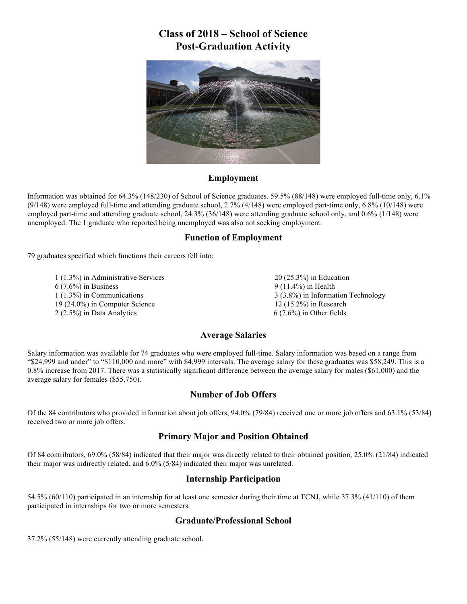## **Class of 2018 – School of Science Post-Graduation Activity**



#### **Employment**

Information was obtained for 64.3% (148/230) of School of Science graduates. 59.5% (88/148) were employed full-time only, 6.1%  $(9/148)$  were employed full-time and attending graduate school, 2.7%  $(4/148)$  were employed part-time only, 6.8%  $(10/148)$  were employed part-time and attending graduate school, 24.3% (36/148) were attending graduate school only, and 0.6% (1/148) were unemployed. The 1 graduate who reported being unemployed was also not seeking employment.

#### **Function of Employment**

79 graduates specified which functions their careers fell into:

1 (1.3%) in Administrative Services 6 (7.6%) in Business 1 (1.3%) in Communications 19 (24.0%) in Computer Science 2 (2.5%) in Data Analytics

20 (25.3%) in Education 9 (11.4%) in Health 3 (3.8%) in Information Technology 12 (15.2%) in Research 6 (7.6%) in Other fields

#### **Average Salaries**

Salary information was available for 74 graduates who were employed full-time. Salary information was based on a range from "\$24,999 and under" to "\$110,000 and more" with \$4,999 intervals. The average salary for these graduates was \$58,249. This is a 0.8% increase from 2017. There was a statistically significant difference between the average salary for males (\$61,000) and the average salary for females (\$55,750).

#### **Number of Job Offers**

Of the 84 contributors who provided information about job offers, 94.0% (79/84) received one or more job offers and 63.1% (53/84) received two or more job offers.

#### **Primary Major and Position Obtained**

Of 84 contributors, 69.0% (58/84) indicated that their major was directly related to their obtained position, 25.0% (21/84) indicated their major was indirectly related, and 6.0% (5/84) indicated their major was unrelated.

#### **Internship Participation**

54.5% (60/110) participated in an internship for at least one semester during their time at TCNJ, while 37.3% (41/110) of them participated in internships for two or more semesters.

#### **Graduate/Professional School**

37.2% (55/148) were currently attending graduate school.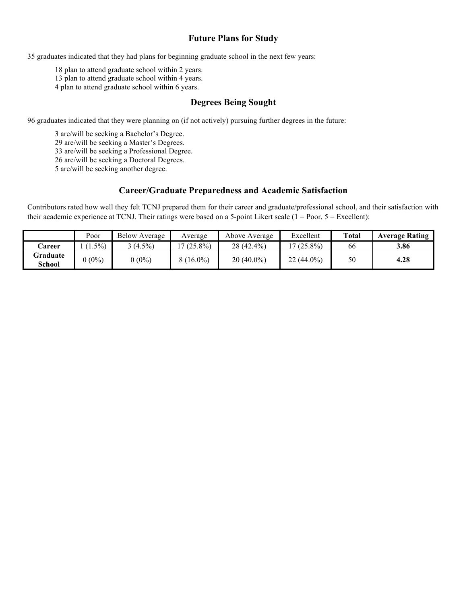#### **Future Plans for Study**

35 graduates indicated that they had plans for beginning graduate school in the next few years:

18 plan to attend graduate school within 2 years.

13 plan to attend graduate school within 4 years.

4 plan to attend graduate school within 6 years.

#### **Degrees Being Sought**

96 graduates indicated that they were planning on (if not actively) pursuing further degrees in the future:

3 are/will be seeking a Bachelor's Degree. are/will be seeking a Master's Degrees. are/will be seeking a Professional Degree. are/will be seeking a Doctoral Degrees. are/will be seeking another degree.

#### **Career/Graduate Preparedness and Academic Satisfaction**

Contributors rated how well they felt TCNJ prepared them for their career and graduate/professional school, and their satisfaction with their academic experience at TCNJ. Their ratings were based on a 5-point Likert scale  $(1 = Poor, 5 = Execllen)$ :

|                    | Poor     | <b>Below Average</b> | Average     | Above Average | Excellent    | <b>Total</b> | <b>Average Rating</b> |
|--------------------|----------|----------------------|-------------|---------------|--------------|--------------|-----------------------|
| <b>Career</b>      | $1.5\%$  | $(4.5\%)$            | $(25.8\%)$  | $28(42.4\%)$  | $(25.8\%)$   | 66           | 3.86                  |
| Graduate<br>School | $0(0\%)$ | $0(0\%)$             | $8(16.0\%)$ | $20(40.0\%)$  | $22(44.0\%)$ | 50           | 4.28                  |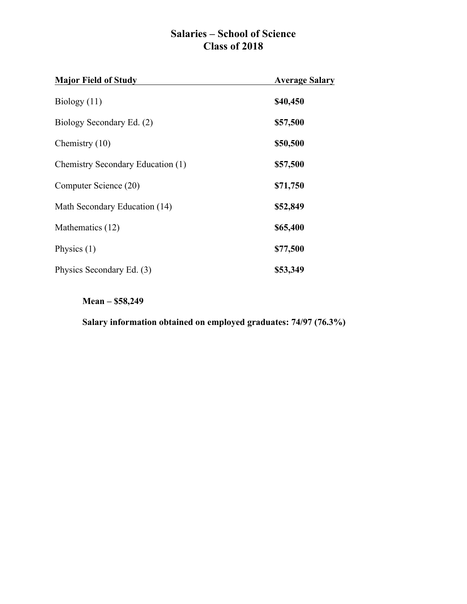## **Salaries – School of Science Class of 2018**

| <b>Major Field of Study</b>       | <b>Average Salary</b> |
|-----------------------------------|-----------------------|
| Biology $(11)$                    | \$40,450              |
| Biology Secondary Ed. (2)         | \$57,500              |
| Chemistry $(10)$                  | \$50,500              |
| Chemistry Secondary Education (1) | \$57,500              |
| Computer Science (20)             | \$71,750              |
| Math Secondary Education (14)     | \$52,849              |
| Mathematics (12)                  | \$65,400              |
| Physics $(1)$                     | \$77,500              |
| Physics Secondary Ed. (3)         | \$53,349              |

**Mean – \$58,249**

**Salary information obtained on employed graduates: 74/97 (76.3%)**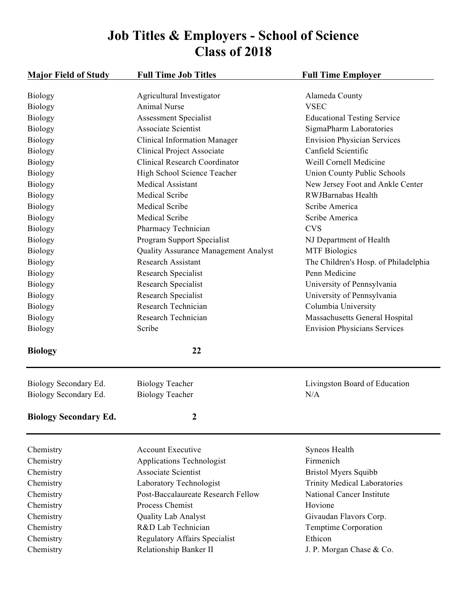# **Job Titles & Employers - School of Science Class of 2018**

| <b>Major Field of Study</b>  | <b>Full Time Job Titles</b>          | <b>Full Time Employer</b>            |
|------------------------------|--------------------------------------|--------------------------------------|
| <b>Biology</b>               | Agricultural Investigator            | Alameda County                       |
| <b>Biology</b>               | <b>Animal Nurse</b>                  | <b>VSEC</b>                          |
| <b>Biology</b>               | <b>Assessment Specialist</b>         | <b>Educational Testing Service</b>   |
| <b>Biology</b>               | <b>Associate Scientist</b>           | SigmaPharm Laboratories              |
| <b>Biology</b>               | <b>Clinical Information Manager</b>  | <b>Envision Physician Services</b>   |
| <b>Biology</b>               | <b>Clinical Project Associate</b>    | Canfield Scientific                  |
| Biology                      | <b>Clinical Research Coordinator</b> | Weill Cornell Medicine               |
| <b>Biology</b>               | High School Science Teacher          | Union County Public Schools          |
| <b>Biology</b>               | <b>Medical Assistant</b>             | New Jersey Foot and Ankle Center     |
| <b>Biology</b>               | <b>Medical Scribe</b>                | RWJBarnabas Health                   |
| <b>Biology</b>               | <b>Medical Scribe</b>                | Scribe America                       |
| <b>Biology</b>               | <b>Medical Scribe</b>                | Scribe America                       |
| <b>Biology</b>               | Pharmacy Technician                  | <b>CVS</b>                           |
| <b>Biology</b>               | Program Support Specialist           | NJ Department of Health              |
| Biology                      | Quality Assurance Management Analyst | <b>MTF</b> Biologics                 |
| <b>Biology</b>               | <b>Research Assistant</b>            | The Children's Hosp. of Philadelphia |
| <b>Biology</b>               | Research Specialist                  | Penn Medicine                        |
| <b>Biology</b>               | Research Specialist                  | University of Pennsylvania           |
| <b>Biology</b>               | Research Specialist                  | University of Pennsylvania           |
| <b>Biology</b>               | Research Technician                  | Columbia University                  |
| <b>Biology</b>               | Research Technician                  | Massachusetts General Hospital       |
| <b>Biology</b>               | Scribe                               | <b>Envision Physicians Services</b>  |
| <b>Biology</b>               | 22                                   |                                      |
| Biology Secondary Ed.        | <b>Biology Teacher</b>               | Livingston Board of Education        |
| Biology Secondary Ed.        | <b>Biology Teacher</b>               | N/A                                  |
| <b>Biology Secondary Ed.</b> | 2                                    |                                      |
| Chemistry                    | <b>Account Executive</b>             | Syneos Health                        |
| Chemistry                    | Applications Technologist            | Firmenich                            |
| Chemistry                    | <b>Associate Scientist</b>           | <b>Bristol Myers Squibb</b>          |
| Chemistry                    | Laboratory Technologist              | <b>Trinity Medical Laboratories</b>  |
| Chemistry                    | Post-Baccalaureate Research Fellow   | <b>National Cancer Institute</b>     |
| Chemistry                    | Process Chemist                      | Hovione                              |
| Chemistry                    | <b>Quality Lab Analyst</b>           | Givaudan Flavors Corp.               |
| Chemistry                    | R&D Lab Technician                   | <b>Temptime Corporation</b>          |
| Chemistry                    | <b>Regulatory Affairs Specialist</b> | Ethicon                              |
| Chemistry                    | Relationship Banker II               | J. P. Morgan Chase & Co.             |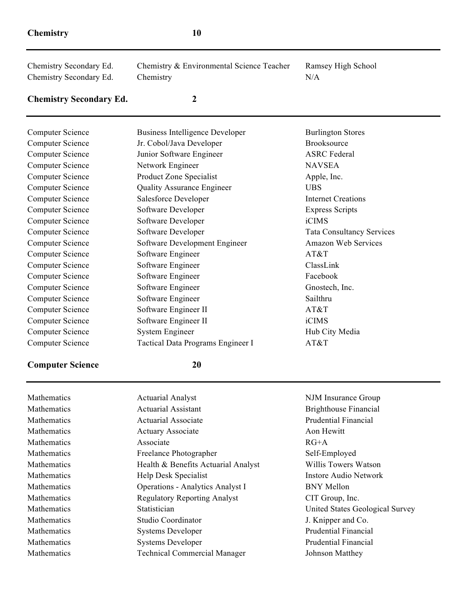Chemistry Secondary Ed. Chemistry & Environmental Science Teacher Ramsey High School Chemistry Secondary Ed. Chemistry N/A

### **Chemistry Secondary Ed. 2**

| <b>Computer Science</b> | <b>Business Intelligence Developer</b> | <b>Burlington Stores</b>         |
|-------------------------|----------------------------------------|----------------------------------|
| <b>Computer Science</b> | Jr. Cobol/Java Developer               | <b>Brooksource</b>               |
| <b>Computer Science</b> | Junior Software Engineer               | <b>ASRC</b> Federal              |
| <b>Computer Science</b> | Network Engineer                       | <b>NAVSEA</b>                    |
| <b>Computer Science</b> | Product Zone Specialist                | Apple, Inc.                      |
| <b>Computer Science</b> | <b>Quality Assurance Engineer</b>      | <b>UBS</b>                       |
| <b>Computer Science</b> | Salesforce Developer                   | <b>Internet Creations</b>        |
| <b>Computer Science</b> | Software Developer                     | <b>Express Scripts</b>           |
| <b>Computer Science</b> | Software Developer                     | iCIMS                            |
| <b>Computer Science</b> | Software Developer                     | <b>Tata Consultancy Services</b> |
| <b>Computer Science</b> | Software Development Engineer          | <b>Amazon Web Services</b>       |
| <b>Computer Science</b> | Software Engineer                      | AT&T                             |
| <b>Computer Science</b> | Software Engineer                      | ClassLink                        |
| <b>Computer Science</b> | Software Engineer                      | Facebook                         |
| <b>Computer Science</b> | Software Engineer                      | Gnostech, Inc.                   |
| <b>Computer Science</b> | Software Engineer                      | Sailthru                         |
| <b>Computer Science</b> | Software Engineer II                   | AT&T                             |
| <b>Computer Science</b> | Software Engineer II                   | iCIMS                            |
| <b>Computer Science</b> | <b>System Engineer</b>                 | Hub City Media                   |
| <b>Computer Science</b> | Tactical Data Programs Engineer I      | AT&T                             |

#### **Computer Science 20**

| Mathematics        | <b>Actuarial Analyst</b>                | NJM Insurance     |
|--------------------|-----------------------------------------|-------------------|
| <b>Mathematics</b> | <b>Actuarial Assistant</b>              | Brighthouse Fi    |
| Mathematics        | <b>Actuarial Associate</b>              | Prudential Fina   |
| <b>Mathematics</b> | <b>Actuary Associate</b>                | Aon Hewitt        |
| Mathematics        | Associate                               | $RG+A$            |
| Mathematics        | Freelance Photographer                  | Self-Employed     |
| <b>Mathematics</b> | Health & Benefits Actuarial Analyst     | Willis Towers     |
| Mathematics        | Help Desk Specialist                    | Instore Audio l   |
| Mathematics        | <b>Operations - Analytics Analyst I</b> | <b>BNY Mellon</b> |
| Mathematics        | <b>Regulatory Reporting Analyst</b>     | CIT Group, Inc    |
| Mathematics        | Statistician                            | United States C   |
| <b>Mathematics</b> | Studio Coordinator                      | J. Knipper and    |
| Mathematics        | <b>Systems Developer</b>                | Prudential Fina   |
| <b>Mathematics</b> | <b>Systems Developer</b>                | Prudential Fina   |
| Mathematics        | <b>Technical Commercial Manager</b>     | Johnson Matthe    |
|                    |                                         |                   |

Insurance Group hthouse Financial ential Financial is Towers Watson re Audio Network Group, Inc. ed States Geological Survey nipper and  $Co$ . ential Financial ential Financial son Matthey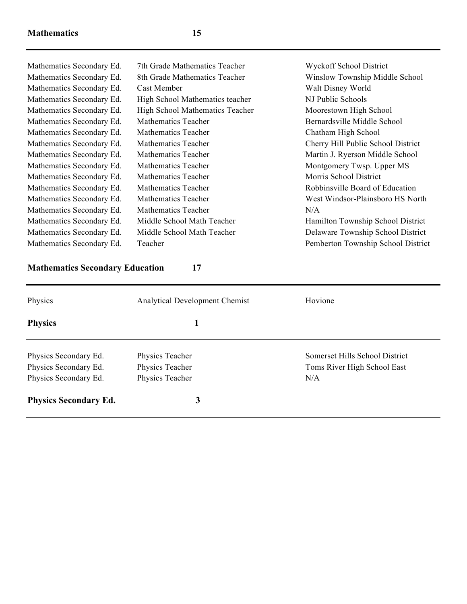| Mathematics Secondary Ed. | 7th Grade Mathematics Teacher   | <b>Wyckoff School District</b>     |
|---------------------------|---------------------------------|------------------------------------|
| Mathematics Secondary Ed. | 8th Grade Mathematics Teacher   | Winslow Township Middle School     |
| Mathematics Secondary Ed. | Cast Member                     | Walt Disney World                  |
| Mathematics Secondary Ed. | High School Mathematics teacher | NJ Public Schools                  |
| Mathematics Secondary Ed. | High School Mathematics Teacher | Moorestown High School             |
| Mathematics Secondary Ed. | <b>Mathematics Teacher</b>      | Bernardsville Middle School        |
| Mathematics Secondary Ed. | Mathematics Teacher             | Chatham High School                |
| Mathematics Secondary Ed. | Mathematics Teacher             | Cherry Hill Public School District |
| Mathematics Secondary Ed. | Mathematics Teacher             | Martin J. Ryerson Middle School    |
| Mathematics Secondary Ed. | Mathematics Teacher             | Montgomery Twsp. Upper MS          |
| Mathematics Secondary Ed. | Mathematics Teacher             | Morris School District             |
| Mathematics Secondary Ed. | Mathematics Teacher             | Robbinsville Board of Education    |
| Mathematics Secondary Ed. | Mathematics Teacher             | West Windsor-Plainsboro HS North   |
| Mathematics Secondary Ed. | Mathematics Teacher             | N/A                                |
| Mathematics Secondary Ed. | Middle School Math Teacher      | Hamilton Township School District  |
| Mathematics Secondary Ed. | Middle School Math Teacher      | Delaware Township School District  |
| Mathematics Secondary Ed. | Teacher                         | Pemberton Township School District |
|                           |                                 |                                    |

#### **Mathematics Secondary Education 17**

Physics Analytical Development Chemist Hovione Physics 1 Physics Secondary Ed. Physics Teacher Somerset Hills School District Physics Secondary Ed. Physics Teacher Toms River High School East Physics Secondary Ed. Physics Teacher N/A **Physics Secondary Ed. 3**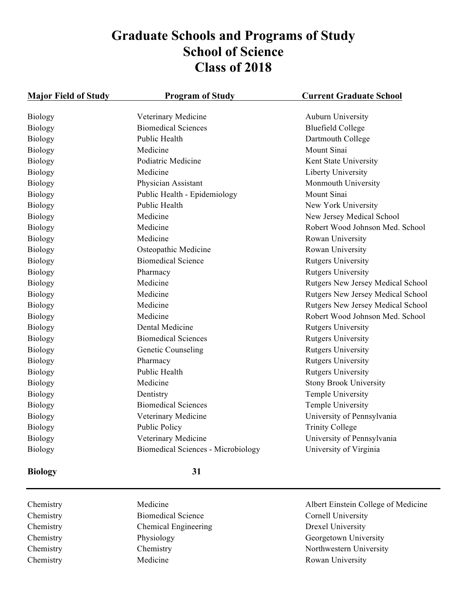# **Graduate Schools and Programs of Study School of Science Class of 2018**

| <b>Major Field of Study</b> | <b>Program of Study</b>            | <b>Current Graduate School</b>    |
|-----------------------------|------------------------------------|-----------------------------------|
| <b>Biology</b>              | Veterinary Medicine                | <b>Auburn University</b>          |
| <b>Biology</b>              | <b>Biomedical Sciences</b>         | <b>Bluefield College</b>          |
| <b>Biology</b>              | Public Health                      | Dartmouth College                 |
| <b>Biology</b>              | Medicine                           | Mount Sinai                       |
| <b>Biology</b>              | Podiatric Medicine                 | Kent State University             |
| <b>Biology</b>              | Medicine                           | Liberty University                |
| <b>Biology</b>              | Physician Assistant                | Monmouth University               |
| <b>Biology</b>              | Public Health - Epidemiology       | Mount Sinai                       |
| <b>Biology</b>              | Public Health                      | New York University               |
| <b>Biology</b>              | Medicine                           | New Jersey Medical School         |
| <b>Biology</b>              | Medicine                           | Robert Wood Johnson Med. School   |
| <b>Biology</b>              | Medicine                           | Rowan University                  |
| <b>Biology</b>              | Osteopathic Medicine               | Rowan University                  |
| <b>Biology</b>              | <b>Biomedical Science</b>          | <b>Rutgers University</b>         |
| <b>Biology</b>              | Pharmacy                           | <b>Rutgers University</b>         |
| <b>Biology</b>              | Medicine                           | Rutgers New Jersey Medical School |
| <b>Biology</b>              | Medicine                           | Rutgers New Jersey Medical School |
| <b>Biology</b>              | Medicine                           | Rutgers New Jersey Medical School |
| <b>Biology</b>              | Medicine                           | Robert Wood Johnson Med. School   |
| <b>Biology</b>              | Dental Medicine                    | <b>Rutgers University</b>         |
| <b>Biology</b>              | <b>Biomedical Sciences</b>         | <b>Rutgers University</b>         |
| <b>Biology</b>              | Genetic Counseling                 | <b>Rutgers University</b>         |
| <b>Biology</b>              | Pharmacy                           | <b>Rutgers University</b>         |
| <b>Biology</b>              | Public Health                      | <b>Rutgers University</b>         |
| Biology                     | Medicine                           | <b>Stony Brook University</b>     |
| Biology                     | Dentistry                          | Temple University                 |
| <b>Biology</b>              | <b>Biomedical Sciences</b>         | Temple University                 |
| Biology                     | Veterinary Medicine                | University of Pennsylvania        |
| <b>Biology</b>              | <b>Public Policy</b>               | <b>Trinity College</b>            |
| <b>Biology</b>              | Veterinary Medicine                | University of Pennsylvania        |
| <b>Biology</b>              | Biomedical Sciences - Microbiology | University of Virginia            |

#### **Biology 31**

Chemistry Biomedical Science Cornell University Chemistry Chemical Engineering Drexel University Chemistry Medicine Medicine Rowan University

Chemistry Medicine Albert Einstein College of Medicine Chemistry Physiology Physiology Georgetown University Chemistry Chemistry Chemistry Northwestern University